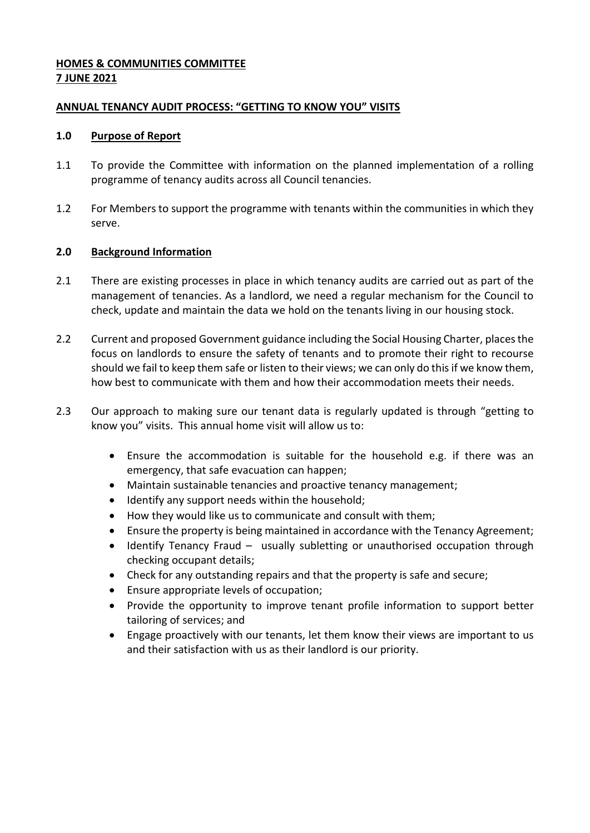### **HOMES & COMMUNITIES COMMITTEE 7 JUNE 2021**

#### **ANNUAL TENANCY AUDIT PROCESS: "GETTING TO KNOW YOU" VISITS**

#### **1.0 Purpose of Report**

- 1.1 To provide the Committee with information on the planned implementation of a rolling programme of tenancy audits across all Council tenancies.
- 1.2 For Members to support the programme with tenants within the communities in which they serve.

# **2.0 Background Information**

- 2.1 There are existing processes in place in which tenancy audits are carried out as part of the management of tenancies. As a landlord, we need a regular mechanism for the Council to check, update and maintain the data we hold on the tenants living in our housing stock.
- 2.2 Current and proposed Government guidance including the Social Housing Charter, places the focus on landlords to ensure the safety of tenants and to promote their right to recourse should we fail to keep them safe or listen to their views; we can only do this if we know them, how best to communicate with them and how their accommodation meets their needs.
- 2.3 Our approach to making sure our tenant data is regularly updated is through "getting to know you" visits. This annual home visit will allow us to:
	- Ensure the accommodation is suitable for the household e.g. if there was an emergency, that safe evacuation can happen;
	- Maintain sustainable tenancies and proactive tenancy management;
	- Identify any support needs within the household;
	- How they would like us to communicate and consult with them;
	- Ensure the property is being maintained in accordance with the Tenancy Agreement;
	- Identify Tenancy Fraud usually subletting or unauthorised occupation through checking occupant details;
	- Check for any outstanding repairs and that the property is safe and secure;
	- Ensure appropriate levels of occupation;
	- Provide the opportunity to improve tenant profile information to support better tailoring of services; and
	- Engage proactively with our tenants, let them know their views are important to us and their satisfaction with us as their landlord is our priority.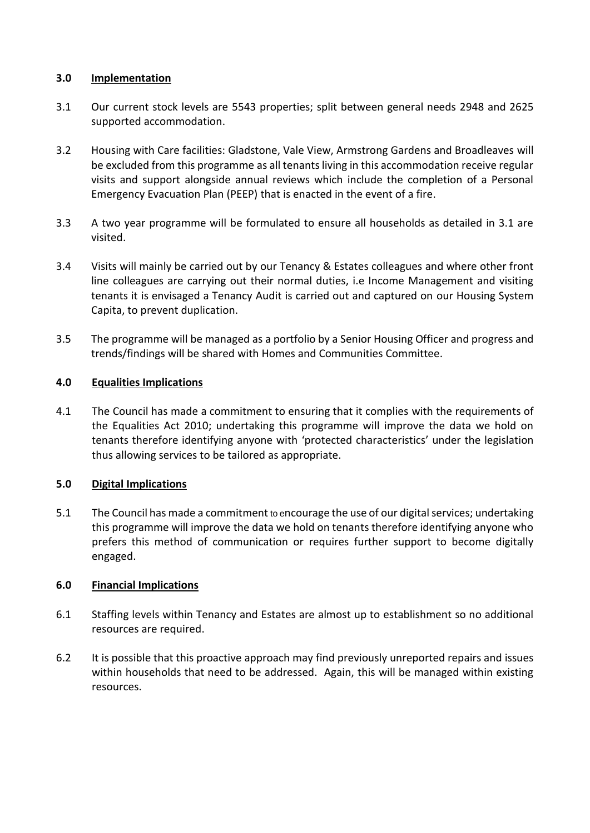### **3.0 Implementation**

- 3.1 Our current stock levels are 5543 properties; split between general needs 2948 and 2625 supported accommodation.
- 3.2 Housing with Care facilities: Gladstone, Vale View, Armstrong Gardens and Broadleaves will be excluded from this programme as all tenants living in this accommodation receive regular visits and support alongside annual reviews which include the completion of a Personal Emergency Evacuation Plan (PEEP) that is enacted in the event of a fire.
- 3.3 A two year programme will be formulated to ensure all households as detailed in 3.1 are visited.
- 3.4 Visits will mainly be carried out by our Tenancy & Estates colleagues and where other front line colleagues are carrying out their normal duties, i.e Income Management and visiting tenants it is envisaged a Tenancy Audit is carried out and captured on our Housing System Capita, to prevent duplication.
- 3.5 The programme will be managed as a portfolio by a Senior Housing Officer and progress and trends/findings will be shared with Homes and Communities Committee.

# **4.0 Equalities Implications**

4.1 The Council has made a commitment to ensuring that it complies with the requirements of the Equalities Act 2010; undertaking this programme will improve the data we hold on tenants therefore identifying anyone with 'protected characteristics' under the legislation thus allowing services to be tailored as appropriate.

# **5.0 Digital Implications**

5.1 The Council has made a commitment to encourage the use of our digital services; undertaking this programme will improve the data we hold on tenants therefore identifying anyone who prefers this method of communication or requires further support to become digitally engaged.

# **6.0 Financial Implications**

- 6.1 Staffing levels within Tenancy and Estates are almost up to establishment so no additional resources are required.
- 6.2 It is possible that this proactive approach may find previously unreported repairs and issues within households that need to be addressed. Again, this will be managed within existing resources.